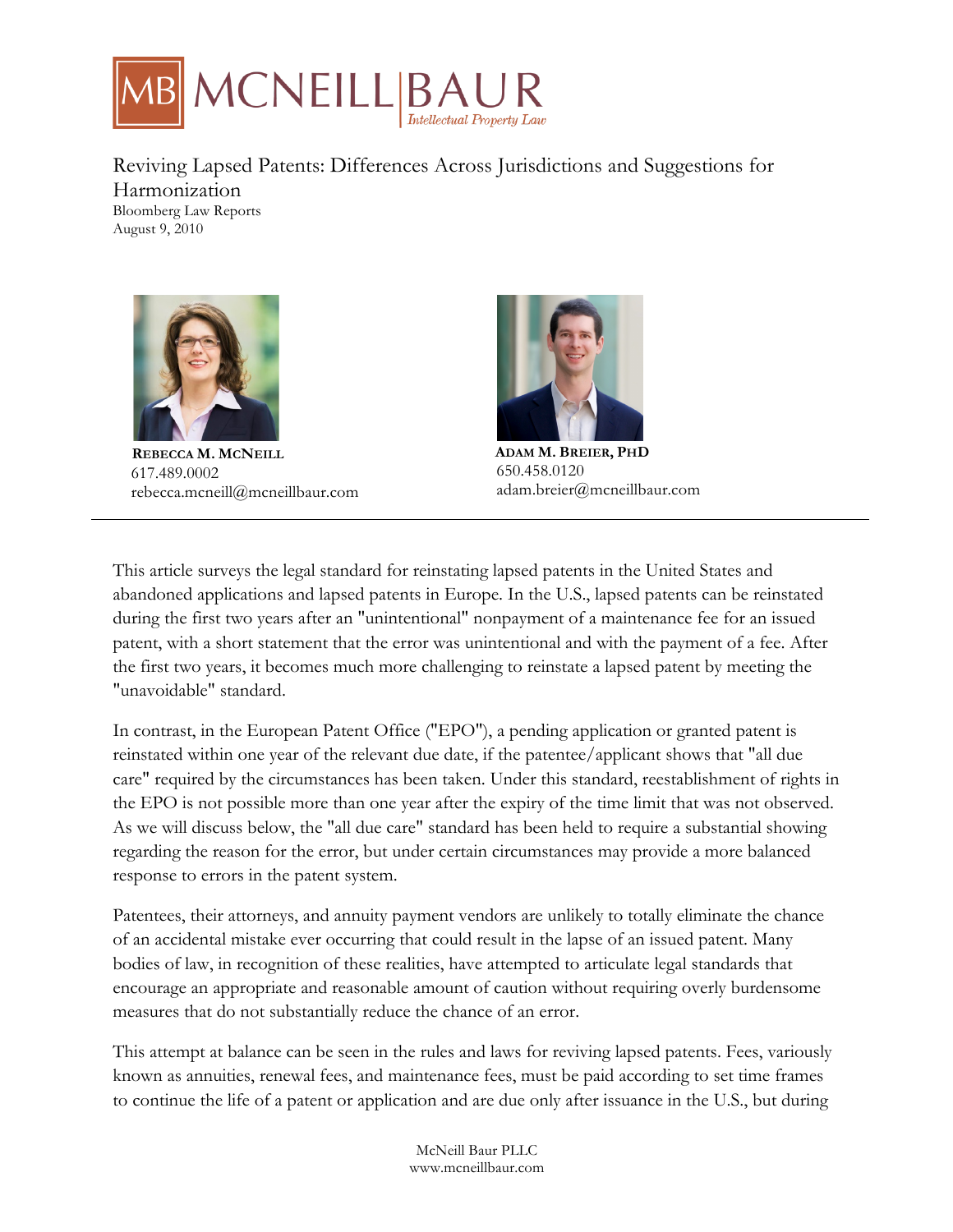

# Reviving Lapsed Patents: Differences Across Jurisdictions and Suggestions for Harmonization

Bloomberg Law Reports August 9, 2010



 **REBECCA M. MCNEILL** 617.489.0002 rebecca.mcneill@mcneillbaur.com



**ADAM M. BREIER, PHD** 650.458.0120 adam.breier@mcneillbaur.com

This article surveys the legal standard for reinstating lapsed patents in the United States and abandoned applications and lapsed patents in Europe. In the U.S., lapsed patents can be reinstated during the first two years after an "unintentional" nonpayment of a maintenance fee for an issued patent, with a short statement that the error was unintentional and with the payment of a fee. After the first two years, it becomes much more challenging to reinstate a lapsed patent by meeting the "unavoidable" standard.

In contrast, in the European Patent Office ("EPO"), a pending application or granted patent is reinstated within one year of the relevant due date, if the patentee/applicant shows that "all due care" required by the circumstances has been taken. Under this standard, reestablishment of rights in the EPO is not possible more than one year after the expiry of the time limit that was not observed. As we will discuss below, the "all due care" standard has been held to require a substantial showing regarding the reason for the error, but under certain circumstances may provide a more balanced response to errors in the patent system.

Patentees, their attorneys, and annuity payment vendors are unlikely to totally eliminate the chance of an accidental mistake ever occurring that could result in the lapse of an issued patent. Many bodies of law, in recognition of these realities, have attempted to articulate legal standards that encourage an appropriate and reasonable amount of caution without requiring overly burdensome measures that do not substantially reduce the chance of an error.

This attempt at balance can be seen in the rules and laws for reviving lapsed patents. Fees, variously known as annuities, renewal fees, and maintenance fees, must be paid according to set time frames to continue the life of a patent or application and are due only after issuance in the U.S., but during

> McNeill Baur PLLC www.mcneillbaur.com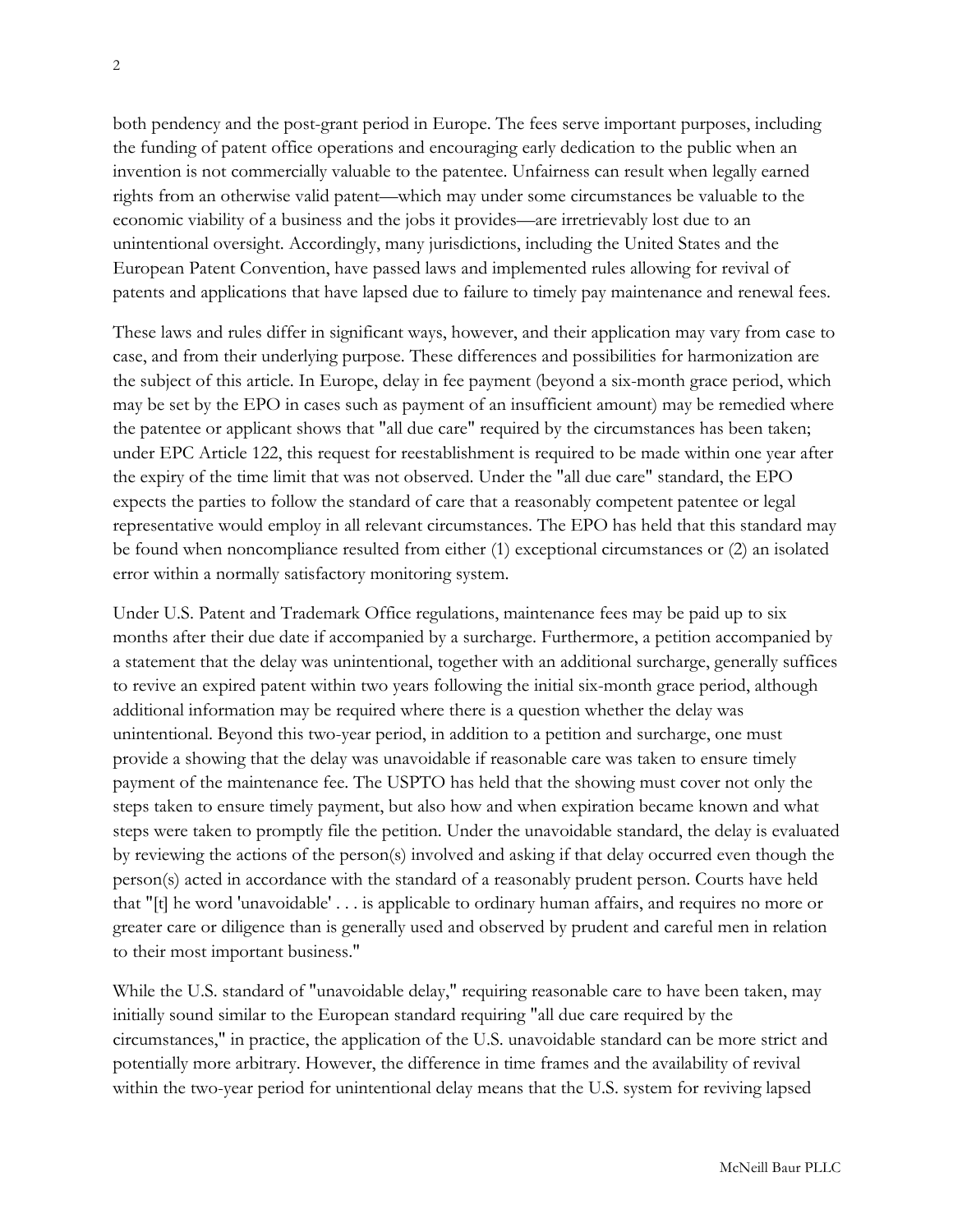both pendency and the post-grant period in Europe. The fees serve important purposes, including the funding of patent office operations and encouraging early dedication to the public when an invention is not commercially valuable to the patentee. Unfairness can result when legally earned rights from an otherwise valid patent—which may under some circumstances be valuable to the economic viability of a business and the jobs it provides—are irretrievably lost due to an unintentional oversight. Accordingly, many jurisdictions, including the United States and the European Patent Convention, have passed laws and implemented rules allowing for revival of patents and applications that have lapsed due to failure to timely pay maintenance and renewal fees.

These laws and rules differ in significant ways, however, and their application may vary from case to case, and from their underlying purpose. These differences and possibilities for harmonization are the subject of this article. In Europe, delay in fee payment (beyond a six-month grace period, which may be set by the EPO in cases such as payment of an insufficient amount) may be remedied where the patentee or applicant shows that "all due care" required by the circumstances has been taken; under EPC Article 122, this request for reestablishment is required to be made within one year after the expiry of the time limit that was not observed. Under the "all due care" standard, the EPO expects the parties to follow the standard of care that a reasonably competent patentee or legal representative would employ in all relevant circumstances. The EPO has held that this standard may be found when noncompliance resulted from either (1) exceptional circumstances or (2) an isolated error within a normally satisfactory monitoring system.

Under U.S. Patent and Trademark Office regulations, maintenance fees may be paid up to six months after their due date if accompanied by a surcharge. Furthermore, a petition accompanied by a statement that the delay was unintentional, together with an additional surcharge, generally suffices to revive an expired patent within two years following the initial six-month grace period, although additional information may be required where there is a question whether the delay was unintentional. Beyond this two-year period, in addition to a petition and surcharge, one must provide a showing that the delay was unavoidable if reasonable care was taken to ensure timely payment of the maintenance fee. The USPTO has held that the showing must cover not only the steps taken to ensure timely payment, but also how and when expiration became known and what steps were taken to promptly file the petition. Under the unavoidable standard, the delay is evaluated by reviewing the actions of the person(s) involved and asking if that delay occurred even though the person(s) acted in accordance with the standard of a reasonably prudent person. Courts have held that "[t] he word 'unavoidable' . . . is applicable to ordinary human affairs, and requires no more or greater care or diligence than is generally used and observed by prudent and careful men in relation to their most important business."

While the U.S. standard of "unavoidable delay," requiring reasonable care to have been taken, may initially sound similar to the European standard requiring "all due care required by the circumstances," in practice, the application of the U.S. unavoidable standard can be more strict and potentially more arbitrary. However, the difference in time frames and the availability of revival within the two-year period for unintentional delay means that the U.S. system for reviving lapsed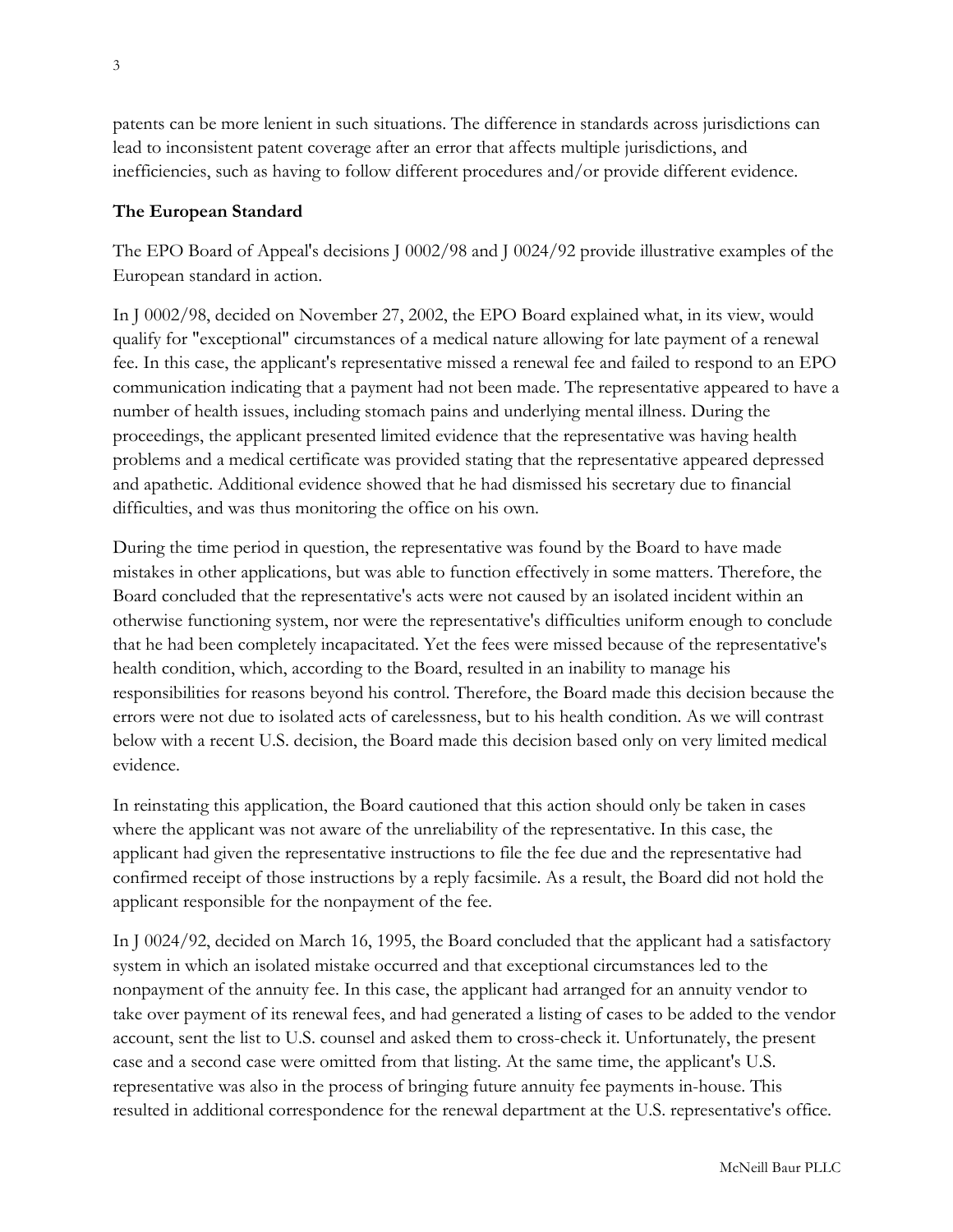patents can be more lenient in such situations. The difference in standards across jurisdictions can lead to inconsistent patent coverage after an error that affects multiple jurisdictions, and inefficiencies, such as having to follow different procedures and/or provide different evidence.

### **The European Standard**

The EPO Board of Appeal's decisions J 0002/98 and J 0024/92 provide illustrative examples of the European standard in action.

In J 0002/98, decided on November 27, 2002, the EPO Board explained what, in its view, would qualify for "exceptional" circumstances of a medical nature allowing for late payment of a renewal fee. In this case, the applicant's representative missed a renewal fee and failed to respond to an EPO communication indicating that a payment had not been made. The representative appeared to have a number of health issues, including stomach pains and underlying mental illness. During the proceedings, the applicant presented limited evidence that the representative was having health problems and a medical certificate was provided stating that the representative appeared depressed and apathetic. Additional evidence showed that he had dismissed his secretary due to financial difficulties, and was thus monitoring the office on his own.

During the time period in question, the representative was found by the Board to have made mistakes in other applications, but was able to function effectively in some matters. Therefore, the Board concluded that the representative's acts were not caused by an isolated incident within an otherwise functioning system, nor were the representative's difficulties uniform enough to conclude that he had been completely incapacitated. Yet the fees were missed because of the representative's health condition, which, according to the Board, resulted in an inability to manage his responsibilities for reasons beyond his control. Therefore, the Board made this decision because the errors were not due to isolated acts of carelessness, but to his health condition. As we will contrast below with a recent U.S. decision, the Board made this decision based only on very limited medical evidence.

In reinstating this application, the Board cautioned that this action should only be taken in cases where the applicant was not aware of the unreliability of the representative. In this case, the applicant had given the representative instructions to file the fee due and the representative had confirmed receipt of those instructions by a reply facsimile. As a result, the Board did not hold the applicant responsible for the nonpayment of the fee.

In J 0024/92, decided on March 16, 1995, the Board concluded that the applicant had a satisfactory system in which an isolated mistake occurred and that exceptional circumstances led to the nonpayment of the annuity fee. In this case, the applicant had arranged for an annuity vendor to take over payment of its renewal fees, and had generated a listing of cases to be added to the vendor account, sent the list to U.S. counsel and asked them to cross-check it. Unfortunately, the present case and a second case were omitted from that listing. At the same time, the applicant's U.S. representative was also in the process of bringing future annuity fee payments in-house. This resulted in additional correspondence for the renewal department at the U.S. representative's office.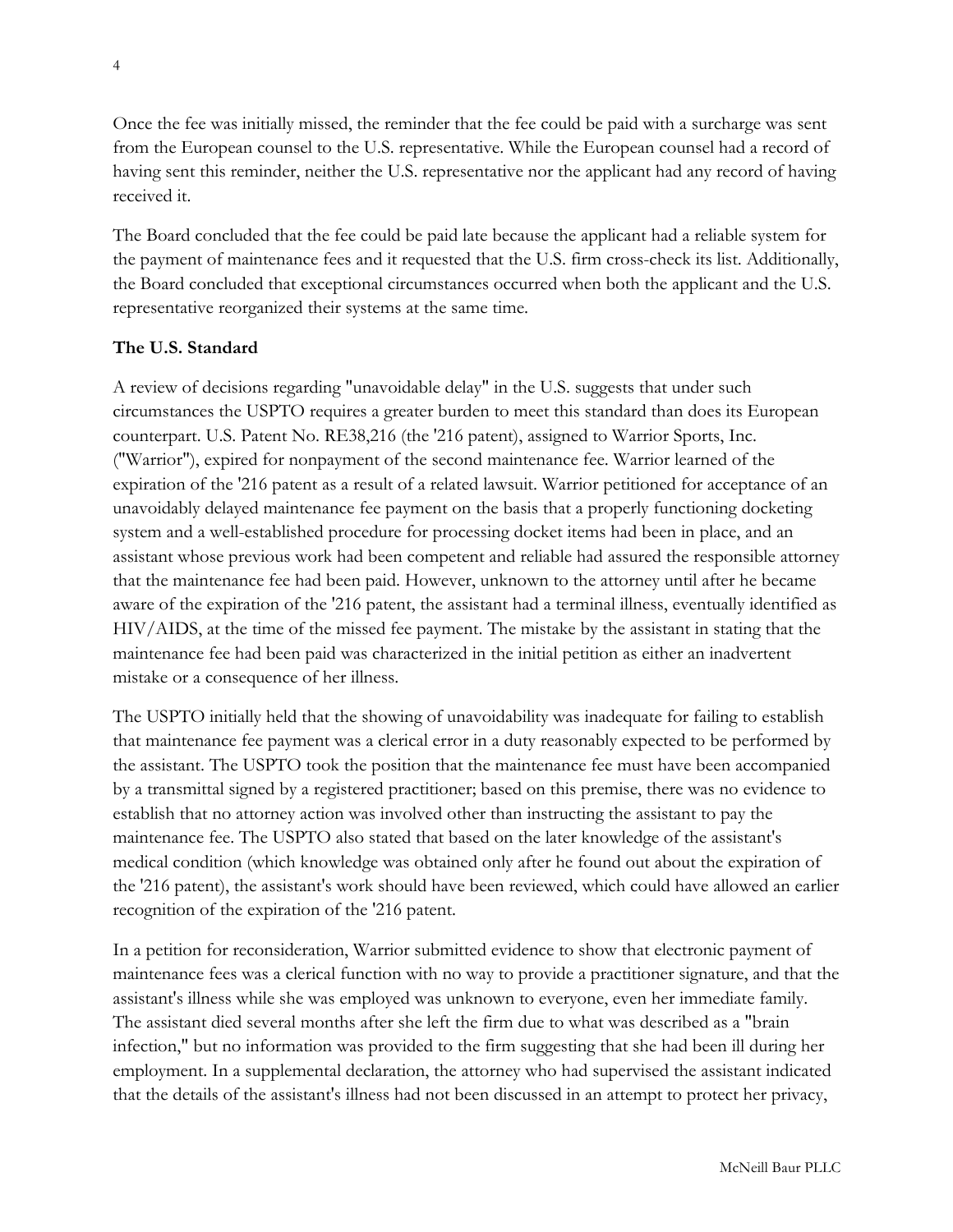Once the fee was initially missed, the reminder that the fee could be paid with a surcharge was sent from the European counsel to the U.S. representative. While the European counsel had a record of having sent this reminder, neither the U.S. representative nor the applicant had any record of having received it.

The Board concluded that the fee could be paid late because the applicant had a reliable system for the payment of maintenance fees and it requested that the U.S. firm cross-check its list. Additionally, the Board concluded that exceptional circumstances occurred when both the applicant and the U.S. representative reorganized their systems at the same time.

#### **The U.S. Standard**

A review of decisions regarding "unavoidable delay" in the U.S. suggests that under such circumstances the USPTO requires a greater burden to meet this standard than does its European counterpart. U.S. Patent No. RE38,216 (the '216 patent), assigned to Warrior Sports, Inc. ("Warrior"), expired for nonpayment of the second maintenance fee. Warrior learned of the expiration of the '216 patent as a result of a related lawsuit. Warrior petitioned for acceptance of an unavoidably delayed maintenance fee payment on the basis that a properly functioning docketing system and a well-established procedure for processing docket items had been in place, and an assistant whose previous work had been competent and reliable had assured the responsible attorney that the maintenance fee had been paid. However, unknown to the attorney until after he became aware of the expiration of the '216 patent, the assistant had a terminal illness, eventually identified as HIV/AIDS, at the time of the missed fee payment. The mistake by the assistant in stating that the maintenance fee had been paid was characterized in the initial petition as either an inadvertent mistake or a consequence of her illness.

The USPTO initially held that the showing of unavoidability was inadequate for failing to establish that maintenance fee payment was a clerical error in a duty reasonably expected to be performed by the assistant. The USPTO took the position that the maintenance fee must have been accompanied by a transmittal signed by a registered practitioner; based on this premise, there was no evidence to establish that no attorney action was involved other than instructing the assistant to pay the maintenance fee. The USPTO also stated that based on the later knowledge of the assistant's medical condition (which knowledge was obtained only after he found out about the expiration of the '216 patent), the assistant's work should have been reviewed, which could have allowed an earlier recognition of the expiration of the '216 patent.

In a petition for reconsideration, Warrior submitted evidence to show that electronic payment of maintenance fees was a clerical function with no way to provide a practitioner signature, and that the assistant's illness while she was employed was unknown to everyone, even her immediate family. The assistant died several months after she left the firm due to what was described as a "brain infection," but no information was provided to the firm suggesting that she had been ill during her employment. In a supplemental declaration, the attorney who had supervised the assistant indicated that the details of the assistant's illness had not been discussed in an attempt to protect her privacy,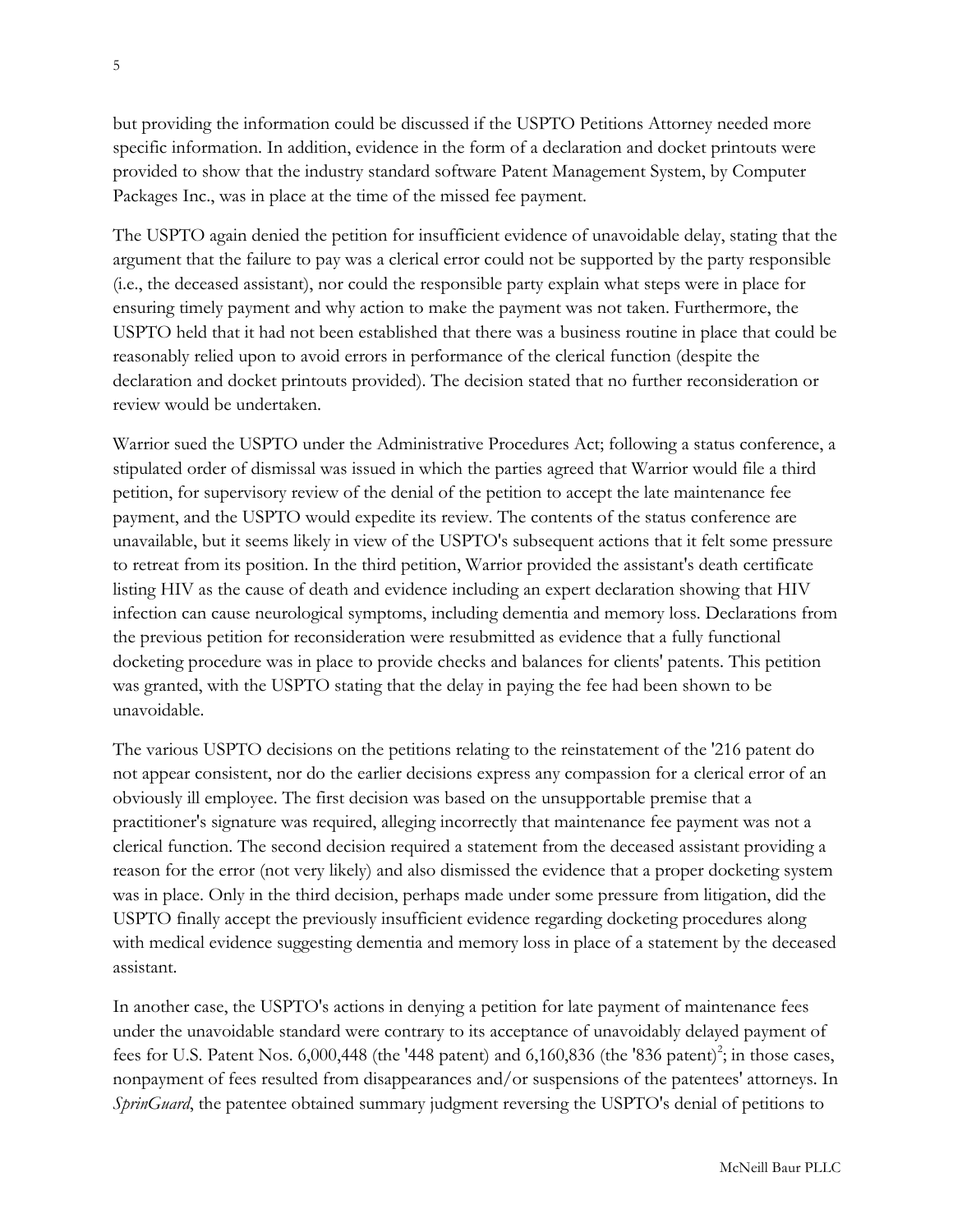but providing the information could be discussed if the USPTO Petitions Attorney needed more specific information. In addition, evidence in the form of a declaration and docket printouts were provided to show that the industry standard software Patent Management System, by Computer Packages Inc., was in place at the time of the missed fee payment.

The USPTO again denied the petition for insufficient evidence of unavoidable delay, stating that the argument that the failure to pay was a clerical error could not be supported by the party responsible (i.e., the deceased assistant), nor could the responsible party explain what steps were in place for ensuring timely payment and why action to make the payment was not taken. Furthermore, the USPTO held that it had not been established that there was a business routine in place that could be reasonably relied upon to avoid errors in performance of the clerical function (despite the declaration and docket printouts provided). The decision stated that no further reconsideration or review would be undertaken.

Warrior sued the USPTO under the Administrative Procedures Act; following a status conference, a stipulated order of dismissal was issued in which the parties agreed that Warrior would file a third petition, for supervisory review of the denial of the petition to accept the late maintenance fee payment, and the USPTO would expedite its review. The contents of the status conference are unavailable, but it seems likely in view of the USPTO's subsequent actions that it felt some pressure to retreat from its position. In the third petition, Warrior provided the assistant's death certificate listing HIV as the cause of death and evidence including an expert declaration showing that HIV infection can cause neurological symptoms, including dementia and memory loss. Declarations from the previous petition for reconsideration were resubmitted as evidence that a fully functional docketing procedure was in place to provide checks and balances for clients' patents. This petition was granted, with the USPTO stating that the delay in paying the fee had been shown to be unavoidable.

The various USPTO decisions on the petitions relating to the reinstatement of the '216 patent do not appear consistent, nor do the earlier decisions express any compassion for a clerical error of an obviously ill employee. The first decision was based on the unsupportable premise that a practitioner's signature was required, alleging incorrectly that maintenance fee payment was not a clerical function. The second decision required a statement from the deceased assistant providing a reason for the error (not very likely) and also dismissed the evidence that a proper docketing system was in place. Only in the third decision, perhaps made under some pressure from litigation, did the USPTO finally accept the previously insufficient evidence regarding docketing procedures along with medical evidence suggesting dementia and memory loss in place of a statement by the deceased assistant.

In another case, the USPTO's actions in denying a petition for late payment of maintenance fees under the unavoidable standard were contrary to its acceptance of unavoidably delayed payment of fees for U.S. Patent Nos.  $6,000,448$  (the '448 patent) and  $6,160,836$  (the '836 patent)<sup>2</sup>; in those cases, nonpayment of fees resulted from disappearances and/or suspensions of the patentees' attorneys. In *SprinGuard*, the patentee obtained summary judgment reversing the USPTO's denial of petitions to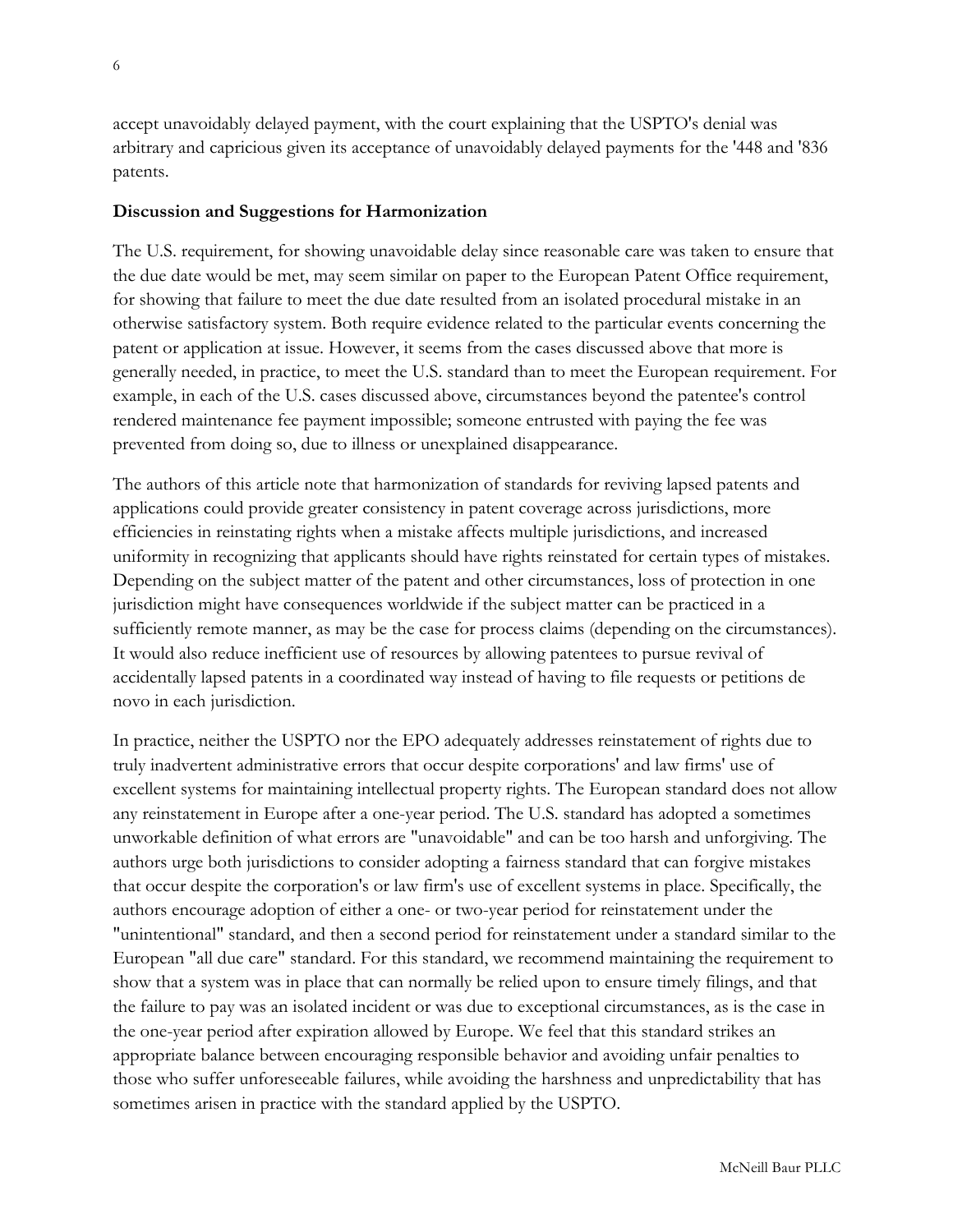accept unavoidably delayed payment, with the court explaining that the USPTO's denial was arbitrary and capricious given its acceptance of unavoidably delayed payments for the '448 and '836 patents.

#### **Discussion and Suggestions for Harmonization**

The U.S. requirement, for showing unavoidable delay since reasonable care was taken to ensure that the due date would be met, may seem similar on paper to the European Patent Office requirement, for showing that failure to meet the due date resulted from an isolated procedural mistake in an otherwise satisfactory system. Both require evidence related to the particular events concerning the patent or application at issue. However, it seems from the cases discussed above that more is generally needed, in practice, to meet the U.S. standard than to meet the European requirement. For example, in each of the U.S. cases discussed above, circumstances beyond the patentee's control rendered maintenance fee payment impossible; someone entrusted with paying the fee was prevented from doing so, due to illness or unexplained disappearance.

The authors of this article note that harmonization of standards for reviving lapsed patents and applications could provide greater consistency in patent coverage across jurisdictions, more efficiencies in reinstating rights when a mistake affects multiple jurisdictions, and increased uniformity in recognizing that applicants should have rights reinstated for certain types of mistakes. Depending on the subject matter of the patent and other circumstances, loss of protection in one jurisdiction might have consequences worldwide if the subject matter can be practiced in a sufficiently remote manner, as may be the case for process claims (depending on the circumstances). It would also reduce inefficient use of resources by allowing patentees to pursue revival of accidentally lapsed patents in a coordinated way instead of having to file requests or petitions de novo in each jurisdiction.

In practice, neither the USPTO nor the EPO adequately addresses reinstatement of rights due to truly inadvertent administrative errors that occur despite corporations' and law firms' use of excellent systems for maintaining intellectual property rights. The European standard does not allow any reinstatement in Europe after a one-year period. The U.S. standard has adopted a sometimes unworkable definition of what errors are "unavoidable" and can be too harsh and unforgiving. The authors urge both jurisdictions to consider adopting a fairness standard that can forgive mistakes that occur despite the corporation's or law firm's use of excellent systems in place. Specifically, the authors encourage adoption of either a one- or two-year period for reinstatement under the "unintentional" standard, and then a second period for reinstatement under a standard similar to the European "all due care" standard. For this standard, we recommend maintaining the requirement to show that a system was in place that can normally be relied upon to ensure timely filings, and that the failure to pay was an isolated incident or was due to exceptional circumstances, as is the case in the one-year period after expiration allowed by Europe. We feel that this standard strikes an appropriate balance between encouraging responsible behavior and avoiding unfair penalties to those who suffer unforeseeable failures, while avoiding the harshness and unpredictability that has sometimes arisen in practice with the standard applied by the USPTO.